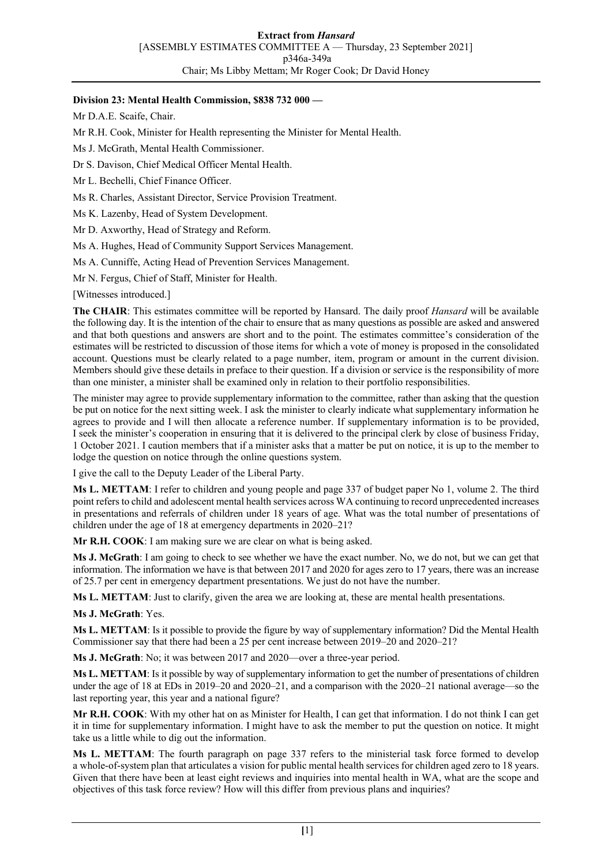# **Division 23: Mental Health Commission, \$838 732 000 —**

Mr D.A.E. Scaife, Chair.

Mr R.H. Cook, Minister for Health representing the Minister for Mental Health.

- Ms J. McGrath, Mental Health Commissioner.
- Dr S. Davison, Chief Medical Officer Mental Health.
- Mr L. Bechelli, Chief Finance Officer.
- Ms R. Charles, Assistant Director, Service Provision Treatment.
- Ms K. Lazenby, Head of System Development.
- Mr D. Axworthy, Head of Strategy and Reform.
- Ms A. Hughes, Head of Community Support Services Management.
- Ms A. Cunniffe, Acting Head of Prevention Services Management.
- Mr N. Fergus, Chief of Staff, Minister for Health.

[Witnesses introduced.]

**The CHAIR**: This estimates committee will be reported by Hansard. The daily proof *Hansard* will be available the following day. It is the intention of the chair to ensure that as many questions as possible are asked and answered and that both questions and answers are short and to the point. The estimates committee's consideration of the estimates will be restricted to discussion of those items for which a vote of money is proposed in the consolidated account. Questions must be clearly related to a page number, item, program or amount in the current division. Members should give these details in preface to their question. If a division or service is the responsibility of more than one minister, a minister shall be examined only in relation to their portfolio responsibilities.

The minister may agree to provide supplementary information to the committee, rather than asking that the question be put on notice for the next sitting week. I ask the minister to clearly indicate what supplementary information he agrees to provide and I will then allocate a reference number. If supplementary information is to be provided, I seek the minister's cooperation in ensuring that it is delivered to the principal clerk by close of business Friday, 1 October 2021. I caution members that if a minister asks that a matter be put on notice, it is up to the member to lodge the question on notice through the online questions system.

I give the call to the Deputy Leader of the Liberal Party.

**Ms L. METTAM**: I refer to children and young people and page 337 of budget paper No 1, volume 2. The third point refers to child and adolescent mental health services across WA continuing to record unprecedented increases in presentations and referrals of children under 18 years of age. What was the total number of presentations of children under the age of 18 at emergency departments in 2020–21?

**Mr R.H. COOK**: I am making sure we are clear on what is being asked.

**Ms J. McGrath**: I am going to check to see whether we have the exact number. No, we do not, but we can get that information. The information we have is that between 2017 and 2020 for ages zero to 17 years, there was an increase of 25.7 per cent in emergency department presentations. We just do not have the number.

**Ms L. METTAM**: Just to clarify, given the area we are looking at, these are mental health presentations.

**Ms J. McGrath**: Yes.

**Ms L. METTAM**: Is it possible to provide the figure by way of supplementary information? Did the Mental Health Commissioner say that there had been a 25 per cent increase between 2019–20 and 2020–21?

**Ms J. McGrath**: No; it was between 2017 and 2020—over a three-year period.

**Ms L. METTAM**: Is it possible by way of supplementary information to get the number of presentations of children under the age of 18 at EDs in 2019–20 and 2020–21, and a comparison with the 2020–21 national average—so the last reporting year, this year and a national figure?

**Mr R.H. COOK**: With my other hat on as Minister for Health, I can get that information. I do not think I can get it in time for supplementary information. I might have to ask the member to put the question on notice. It might take us a little while to dig out the information.

**Ms L. METTAM**: The fourth paragraph on page 337 refers to the ministerial task force formed to develop a whole-of-system plan that articulates a vision for public mental health services for children aged zero to 18 years. Given that there have been at least eight reviews and inquiries into mental health in WA, what are the scope and objectives of this task force review? How will this differ from previous plans and inquiries?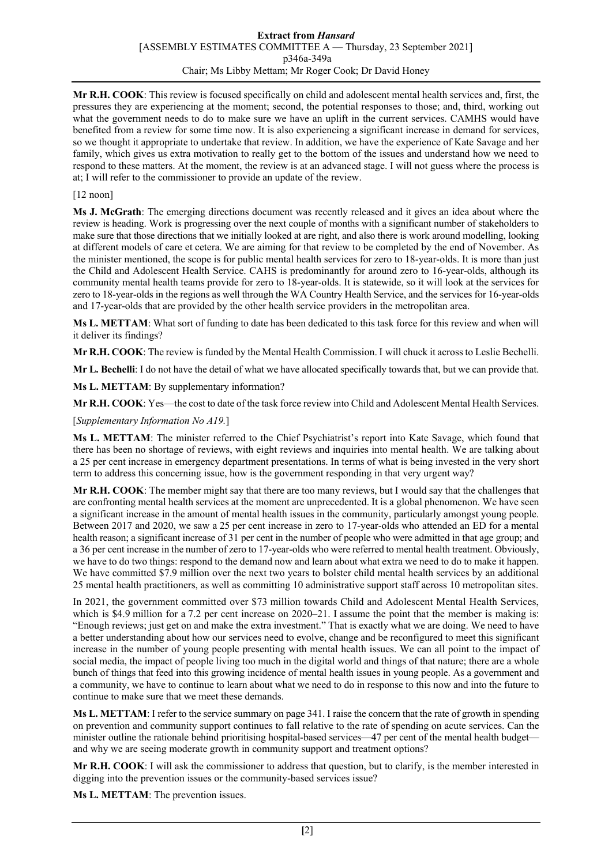#### **Extract from** *Hansard* [ASSEMBLY ESTIMATES COMMITTEE A — Thursday, 23 September 2021] p346a-349a Chair; Ms Libby Mettam; Mr Roger Cook; Dr David Honey

**Mr R.H. COOK**: This review is focused specifically on child and adolescent mental health services and, first, the pressures they are experiencing at the moment; second, the potential responses to those; and, third, working out what the government needs to do to make sure we have an uplift in the current services. CAMHS would have benefited from a review for some time now. It is also experiencing a significant increase in demand for services, so we thought it appropriate to undertake that review. In addition, we have the experience of Kate Savage and her family, which gives us extra motivation to really get to the bottom of the issues and understand how we need to respond to these matters. At the moment, the review is at an advanced stage. I will not guess where the process is at; I will refer to the commissioner to provide an update of the review.

## [12 noon]

**Ms J. McGrath**: The emerging directions document was recently released and it gives an idea about where the review is heading. Work is progressing over the next couple of months with a significant number of stakeholders to make sure that those directions that we initially looked at are right, and also there is work around modelling, looking at different models of care et cetera. We are aiming for that review to be completed by the end of November. As the minister mentioned, the scope is for public mental health services for zero to 18-year-olds. It is more than just the Child and Adolescent Health Service. CAHS is predominantly for around zero to 16-year-olds, although its community mental health teams provide for zero to 18-year-olds. It is statewide, so it will look at the services for zero to 18-year-olds in the regions as well through the WA Country Health Service, and the services for 16-year-olds and 17-year-olds that are provided by the other health service providers in the metropolitan area.

**Ms L. METTAM**: What sort of funding to date has been dedicated to this task force for this review and when will it deliver its findings?

**Mr R.H. COOK**: The review is funded by the Mental Health Commission. I will chuck it across to Leslie Bechelli.

**Mr L. Bechelli**: I do not have the detail of what we have allocated specifically towards that, but we can provide that.

**Ms L. METTAM**: By supplementary information?

**Mr R.H. COOK**: Yes—the cost to date of the task force review into Child and Adolescent Mental Health Services.

#### [*Supplementary Information No A19.*]

**Ms L. METTAM**: The minister referred to the Chief Psychiatrist's report into Kate Savage, which found that there has been no shortage of reviews, with eight reviews and inquiries into mental health. We are talking about a 25 per cent increase in emergency department presentations. In terms of what is being invested in the very short term to address this concerning issue, how is the government responding in that very urgent way?

**Mr R.H. COOK**: The member might say that there are too many reviews, but I would say that the challenges that are confronting mental health services at the moment are unprecedented. It is a global phenomenon. We have seen a significant increase in the amount of mental health issues in the community, particularly amongst young people. Between 2017 and 2020, we saw a 25 per cent increase in zero to 17-year-olds who attended an ED for a mental health reason; a significant increase of 31 per cent in the number of people who were admitted in that age group; and a 36 per cent increase in the number of zero to 17-year-olds who were referred to mental health treatment. Obviously, we have to do two things: respond to the demand now and learn about what extra we need to do to make it happen. We have committed \$7.9 million over the next two years to bolster child mental health services by an additional 25 mental health practitioners, as well as committing 10 administrative support staff across 10 metropolitan sites.

In 2021, the government committed over \$73 million towards Child and Adolescent Mental Health Services, which is \$4.9 million for a 7.2 per cent increase on  $2020-21$ . I assume the point that the member is making is: "Enough reviews; just get on and make the extra investment." That is exactly what we are doing. We need to have a better understanding about how our services need to evolve, change and be reconfigured to meet this significant increase in the number of young people presenting with mental health issues. We can all point to the impact of social media, the impact of people living too much in the digital world and things of that nature; there are a whole bunch of things that feed into this growing incidence of mental health issues in young people. As a government and a community, we have to continue to learn about what we need to do in response to this now and into the future to continue to make sure that we meet these demands.

**Ms L. METTAM**: I refer to the service summary on page 341. I raise the concern that the rate of growth in spending on prevention and community support continues to fall relative to the rate of spending on acute services. Can the minister outline the rationale behind prioritising hospital-based services—47 per cent of the mental health budget and why we are seeing moderate growth in community support and treatment options?

**Mr R.H. COOK**: I will ask the commissioner to address that question, but to clarify, is the member interested in digging into the prevention issues or the community-based services issue?

**Ms L. METTAM**: The prevention issues.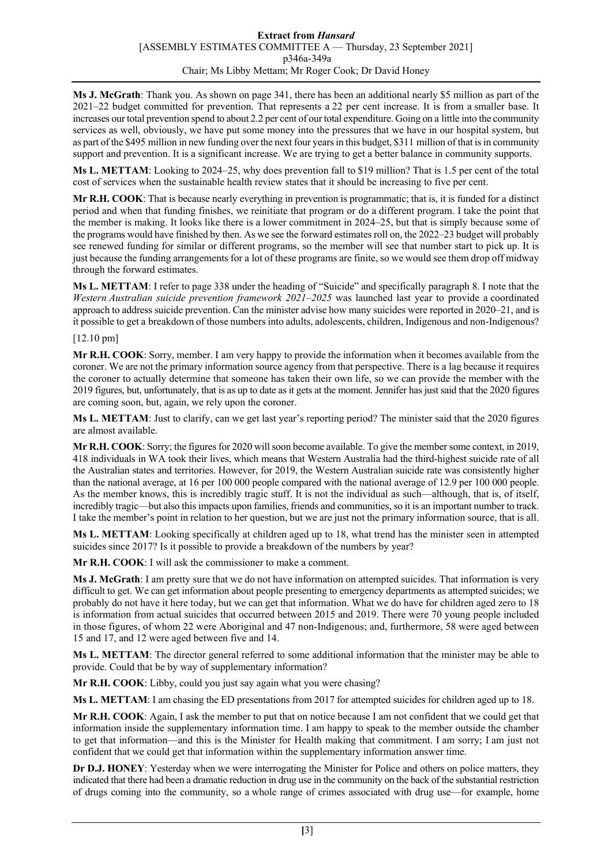**Ms J. McGrath**: Thank you. As shown on page 341, there has been an additional nearly \$5 million as part of the 2021–22 budget committed for prevention. That represents a 22 per cent increase. It is from a smaller base. It increases our total prevention spend to about 2.2 per cent of our total expenditure. Going on a little into the community services as well, obviously, we have put some money into the pressures that we have in our hospital system, but as part of the \$495 million in new funding over the next four years in this budget, \$311 million of that is in community support and prevention. It is a significant increase. We are trying to get a better balance in community supports.

**Ms L. METTAM**: Looking to 2024–25, why does prevention fall to \$19 million? That is 1.5 per cent of the total cost of services when the sustainable health review states that it should be increasing to five per cent.

**Mr R.H. COOK**: That is because nearly everything in prevention is programmatic; that is, it is funded for a distinct period and when that funding finishes, we reinitiate that program or do a different program. I take the point that the member is making. It looks like there is a lower commitment in 2024–25, but that is simply because some of the programs would have finished by then. As we see the forward estimates roll on, the 2022–23 budget will probably see renewed funding for similar or different programs, so the member will see that number start to pick up. It is just because the funding arrangements for a lot of these programs are finite, so we would see them drop off midway through the forward estimates.

**Ms L. METTAM**: I refer to page 338 under the heading of "Suicide" and specifically paragraph 8. I note that the *Western Australian suicide prevention framework 2021–2025* was launched last year to provide a coordinated approach to address suicide prevention. Can the minister advise how many suicides were reported in 2020–21, and is it possible to get a breakdown of those numbers into adults, adolescents, children, Indigenous and non-Indigenous?

## [12.10 pm]

**Mr R.H. COOK**: Sorry, member. I am very happy to provide the information when it becomes available from the coroner. We are not the primary information source agency from that perspective. There is a lag because it requires the coroner to actually determine that someone has taken their own life, so we can provide the member with the 2019 figures, but, unfortunately, that is as up to date as it gets at the moment. Jennifer has just said that the 2020 figures are coming soon, but, again, we rely upon the coroner.

**Ms L. METTAM**: Just to clarify, can we get last year's reporting period? The minister said that the 2020 figures are almost available.

**Mr R.H. COOK**: Sorry; the figures for 2020 will soon become available. To give the member some context, in 2019, 418 individuals in WA took their lives, which means that Western Australia had the third-highest suicide rate of all the Australian states and territories. However, for 2019, the Western Australian suicide rate was consistently higher than the national average, at 16 per 100 000 people compared with the national average of 12.9 per 100 000 people. As the member knows, this is incredibly tragic stuff. It is not the individual as such—although, that is, of itself, incredibly tragic—but also this impacts upon families, friends and communities, so it is an important number to track. I take the member's point in relation to her question, but we are just not the primary information source, that is all.

**Ms L. METTAM**: Looking specifically at children aged up to 18, what trend has the minister seen in attempted suicides since 2017? Is it possible to provide a breakdown of the numbers by year?

**Mr R.H. COOK**: I will ask the commissioner to make a comment.

**Ms J. McGrath**: I am pretty sure that we do not have information on attempted suicides. That information is very difficult to get. We can get information about people presenting to emergency departments as attempted suicides; we probably do not have it here today, but we can get that information. What we do have for children aged zero to 18 is information from actual suicides that occurred between 2015 and 2019. There were 70 young people included in those figures, of whom 22 were Aboriginal and 47 non-Indigenous; and, furthermore, 58 were aged between 15 and 17, and 12 were aged between five and 14.

**Ms L. METTAM**: The director general referred to some additional information that the minister may be able to provide. Could that be by way of supplementary information?

**Mr R.H. COOK**: Libby, could you just say again what you were chasing?

**Ms L. METTAM**: I am chasing the ED presentations from 2017 for attempted suicides for children aged up to 18.

**Mr R.H. COOK**: Again, I ask the member to put that on notice because I am not confident that we could get that information inside the supplementary information time. I am happy to speak to the member outside the chamber to get that information—and this is the Minister for Health making that commitment. I am sorry; I am just not confident that we could get that information within the supplementary information answer time.

**Dr D.J. HONEY**: Yesterday when we were interrogating the Minister for Police and others on police matters, they indicated that there had been a dramatic reduction in drug use in the community on the back of the substantial restriction of drugs coming into the community, so a whole range of crimes associated with drug use—for example, home